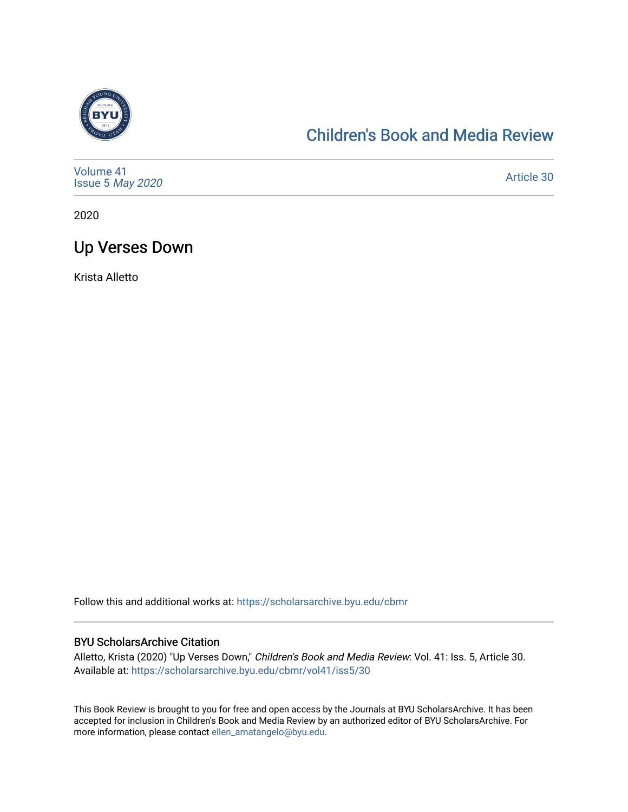

# [Children's Book and Media Review](https://scholarsarchive.byu.edu/cbmr)

| Volume 41<br>Issue 5 May 2020 | Article 30 |
|-------------------------------|------------|
|-------------------------------|------------|

2020

# Up Verses Down

Krista Alletto

Follow this and additional works at: [https://scholarsarchive.byu.edu/cbmr](https://scholarsarchive.byu.edu/cbmr?utm_source=scholarsarchive.byu.edu%2Fcbmr%2Fvol41%2Fiss5%2F30&utm_medium=PDF&utm_campaign=PDFCoverPages) 

#### BYU ScholarsArchive Citation

Alletto, Krista (2020) "Up Verses Down," Children's Book and Media Review: Vol. 41: Iss. 5, Article 30. Available at: [https://scholarsarchive.byu.edu/cbmr/vol41/iss5/30](https://scholarsarchive.byu.edu/cbmr/vol41/iss5/30?utm_source=scholarsarchive.byu.edu%2Fcbmr%2Fvol41%2Fiss5%2F30&utm_medium=PDF&utm_campaign=PDFCoverPages)

This Book Review is brought to you for free and open access by the Journals at BYU ScholarsArchive. It has been accepted for inclusion in Children's Book and Media Review by an authorized editor of BYU ScholarsArchive. For more information, please contact [ellen\\_amatangelo@byu.edu.](mailto:ellen_amatangelo@byu.edu)